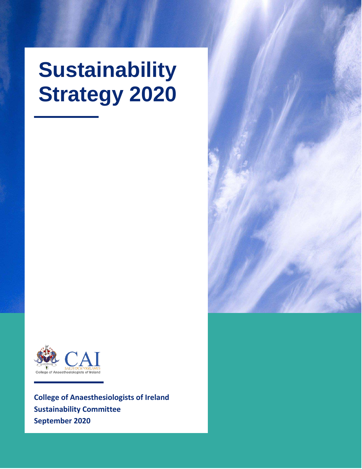# **Sustainability Strategy 2020**



**College of Anaesthesiologists of Ireland Sustainability Committee September 2020**

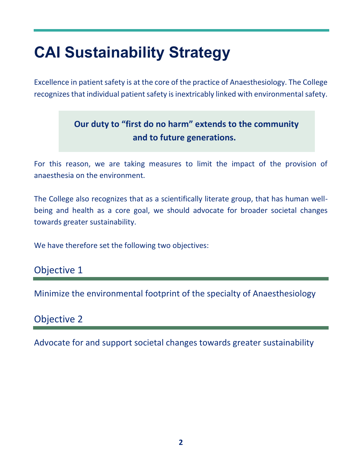## **CAI Sustainability Strategy**

Excellence in patient safety is at the core of the practice of Anaesthesiology. The College recognizes that individual patient safety is inextricably linked with environmental safety.

#### **Our duty to "first do no harm" extends to the community and to future generations.**

For this reason, we are taking measures to limit the impact of the provision of anaesthesia on the environment.

The College also recognizes that as a scientifically literate group, that has human wellbeing and health as a core goal, we should advocate for broader societal changes towards greater sustainability.

We have therefore set the following two objectives:

#### Objective 1

Minimize the environmental footprint of the specialty of Anaesthesiology

#### Objective 2

Advocate for and support societal changes towards greater sustainability